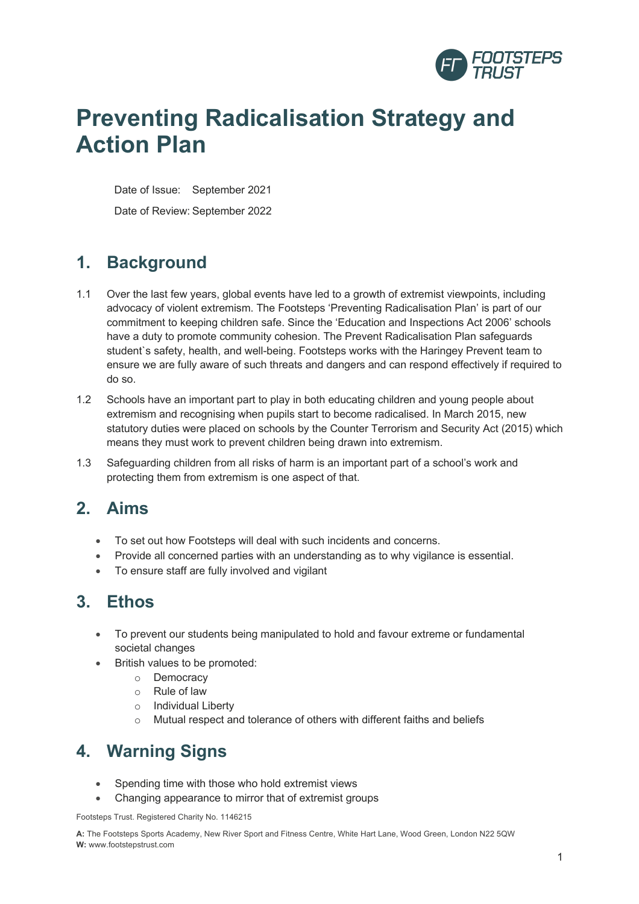

# **Preventing Radicalisation Strategy and Action Plan**

Date of Issue: September 2021 Date of Review: September 2022

### **1. Background**

- 1.1 Over the last few years, global events have led to a growth of extremist viewpoints, including advocacy of violent extremism. The Footsteps 'Preventing Radicalisation Plan' is part of our commitment to keeping children safe. Since the 'Education and Inspections Act 2006' schools have a duty to promote community cohesion. The Prevent Radicalisation Plan safeguards student`s safety, health, and well-being. Footsteps works with the Haringey Prevent team to ensure we are fully aware of such threats and dangers and can respond effectively if required to do so.
- 1.2 Schools have an important part to play in both educating children and young people about extremism and recognising when pupils start to become radicalised. In March 2015, new statutory duties were placed on schools by the Counter Terrorism and Security Act (2015) which means they must work to prevent children being drawn into extremism.
- 1.3 Safeguarding children from all risks of harm is an important part of a school's work and protecting them from extremism is one aspect of that.

#### **2. Aims**

- To set out how Footsteps will deal with such incidents and concerns.
- Provide all concerned parties with an understanding as to why vigilance is essential.
- To ensure staff are fully involved and vigilant

#### **3. Ethos**

- To prevent our students being manipulated to hold and favour extreme or fundamental societal changes
- British values to be promoted:
	- o Democracy
	- o Rule of law
	- o Individual Liberty
	- o Mutual respect and tolerance of others with different faiths and beliefs

## **4. Warning Signs**

- Spending time with those who hold extremist views
- Changing appearance to mirror that of extremist groups

Footsteps Trust. Registered Charity No. 1146215

**A:** The Footsteps Sports Academy, New River Sport and Fitness Centre, White Hart Lane, Wood Green, London N22 5QW **W:** www.footstepstrust.com